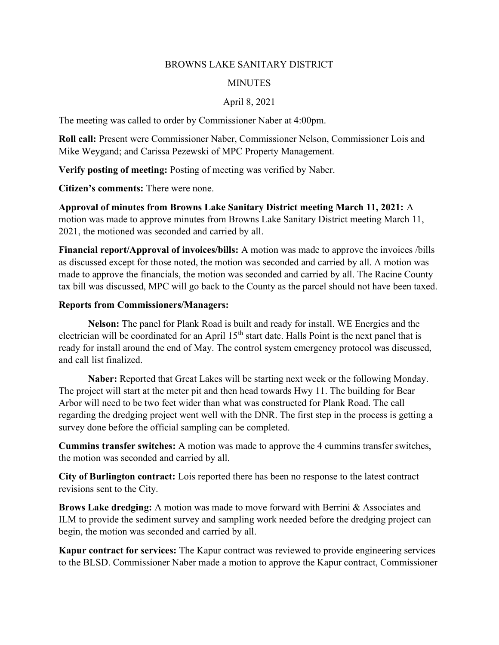## BROWNS LAKE SANITARY DISTRICT

## **MINUTES**

## April 8, 2021

The meeting was called to order by Commissioner Naber at 4:00pm.

Roll call: Present were Commissioner Naber, Commissioner Nelson, Commissioner Lois and Mike Weygand; and Carissa Pezewski of MPC Property Management.

Verify posting of meeting: Posting of meeting was verified by Naber.

Citizen's comments: There were none.

Approval of minutes from Browns Lake Sanitary District meeting March 11, 2021: A motion was made to approve minutes from Browns Lake Sanitary District meeting March 11, 2021, the motioned was seconded and carried by all.

Financial report/Approval of invoices/bills: A motion was made to approve the invoices /bills as discussed except for those noted, the motion was seconded and carried by all. A motion was made to approve the financials, the motion was seconded and carried by all. The Racine County tax bill was discussed, MPC will go back to the County as the parcel should not have been taxed.

## Reports from Commissioners/Managers:

Nelson: The panel for Plank Road is built and ready for install. WE Energies and the electrician will be coordinated for an April 15<sup>th</sup> start date. Halls Point is the next panel that is ready for install around the end of May. The control system emergency protocol was discussed, and call list finalized.

Naber: Reported that Great Lakes will be starting next week or the following Monday. The project will start at the meter pit and then head towards Hwy 11. The building for Bear Arbor will need to be two feet wider than what was constructed for Plank Road. The call regarding the dredging project went well with the DNR. The first step in the process is getting a survey done before the official sampling can be completed.

Cummins transfer switches: A motion was made to approve the 4 cummins transfer switches, the motion was seconded and carried by all.

City of Burlington contract: Lois reported there has been no response to the latest contract revisions sent to the City.

Brows Lake dredging: A motion was made to move forward with Berrini & Associates and ILM to provide the sediment survey and sampling work needed before the dredging project can begin, the motion was seconded and carried by all.

Kapur contract for services: The Kapur contract was reviewed to provide engineering services to the BLSD. Commissioner Naber made a motion to approve the Kapur contract, Commissioner